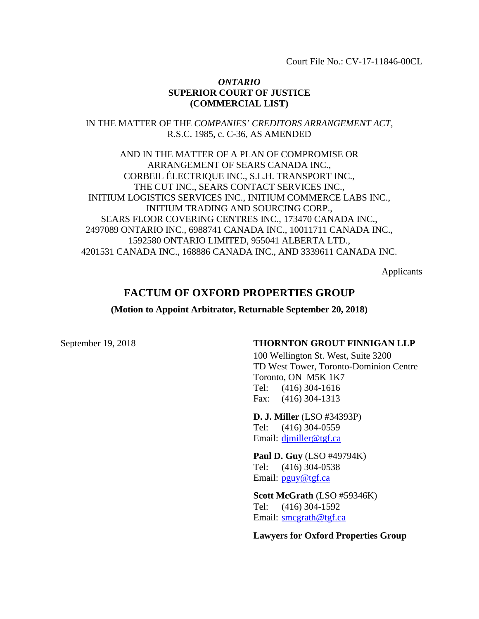Court File No.: CV-17-11846-00CL

#### *ONTARIO* **SUPERIOR COURT OF JUSTICE (COMMERCIAL LIST)**

IN THE MATTER OF THE *COMPANIES' CREDITORS ARRANGEMENT ACT*, R.S.C. 1985, c. C-36, AS AMENDED

AND IN THE MATTER OF A PLAN OF COMPROMISE OR ARRANGEMENT OF SEARS CANADA INC., CORBEIL ÉLECTRIQUE INC., S.L.H. TRANSPORT INC., THE CUT INC., SEARS CONTACT SERVICES INC., INITIUM LOGISTICS SERVICES INC., INITIUM COMMERCE LABS INC., INITIUM TRADING AND SOURCING CORP., SEARS FLOOR COVERING CENTRES INC., 173470 CANADA INC., 2497089 ONTARIO INC., 6988741 CANADA INC., 10011711 CANADA INC., 1592580 ONTARIO LIMITED, 955041 ALBERTA LTD., 4201531 CANADA INC., 168886 CANADA INC., AND 3339611 CANADA INC.

Applicants

# **FACTUM OF OXFORD PROPERTIES GROUP**

**(Motion to Appoint Arbitrator, Returnable September 20, 2018)**

#### September 19, 2018 **THORNTON GROUT FINNIGAN LLP**

100 Wellington St. West, Suite 3200 TD West Tower, Toronto-Dominion Centre Toronto, ON M5K 1K7 Tel: (416) 304-1616 Fax: (416) 304-1313

**D. J. Miller** (LSO #34393P) Tel: (416) 304-0559 Email: [djmiller@tgf.ca](mailto:djmiller@tgf.ca)

**Paul D. Guy** (LSO #49794K) Tel: (416) 304-0538 Email: [pguy@tgf.ca](mailto:pguy@tgf.ca)

**Scott McGrath** (LSO #59346K) Tel: (416) 304-1592 Email: [smcgrath@tgf.ca](mailto:smcgrath@tgf.ca)

**Lawyers for Oxford Properties Group**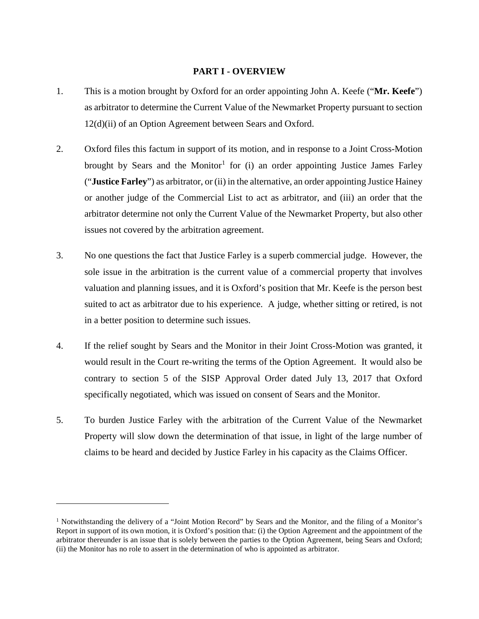#### **PART I - OVERVIEW**

- 1. This is a motion brought by Oxford for an order appointing John A. Keefe ("**Mr. Keefe**") as arbitrator to determine the Current Value of the Newmarket Property pursuant to section 12(d)(ii) of an Option Agreement between Sears and Oxford.
- 2. Oxford files this factum in support of its motion, and in response to a Joint Cross-Motion brought by Sears and the Monitor<sup>[1](#page-1-0)</sup> for (i) an order appointing Justice James Farley ("**Justice Farley**") as arbitrator, or (ii) in the alternative, an order appointing Justice Hainey or another judge of the Commercial List to act as arbitrator, and (iii) an order that the arbitrator determine not only the Current Value of the Newmarket Property, but also other issues not covered by the arbitration agreement.
- 3. No one questions the fact that Justice Farley is a superb commercial judge. However, the sole issue in the arbitration is the current value of a commercial property that involves valuation and planning issues, and it is Oxford's position that Mr. Keefe is the person best suited to act as arbitrator due to his experience. A judge, whether sitting or retired, is not in a better position to determine such issues.
- 4. If the relief sought by Sears and the Monitor in their Joint Cross-Motion was granted, it would result in the Court re-writing the terms of the Option Agreement. It would also be contrary to section 5 of the SISP Approval Order dated July 13, 2017 that Oxford specifically negotiated, which was issued on consent of Sears and the Monitor.
- 5. To burden Justice Farley with the arbitration of the Current Value of the Newmarket Property will slow down the determination of that issue, in light of the large number of claims to be heard and decided by Justice Farley in his capacity as the Claims Officer.

<span id="page-1-0"></span><sup>&</sup>lt;sup>1</sup> Notwithstanding the delivery of a "Joint Motion Record" by Sears and the Monitor, and the filing of a Monitor's Report in support of its own motion, it is Oxford's position that: (i) the Option Agreement and the appointment of the arbitrator thereunder is an issue that is solely between the parties to the Option Agreement, being Sears and Oxford; (ii) the Monitor has no role to assert in the determination of who is appointed as arbitrator.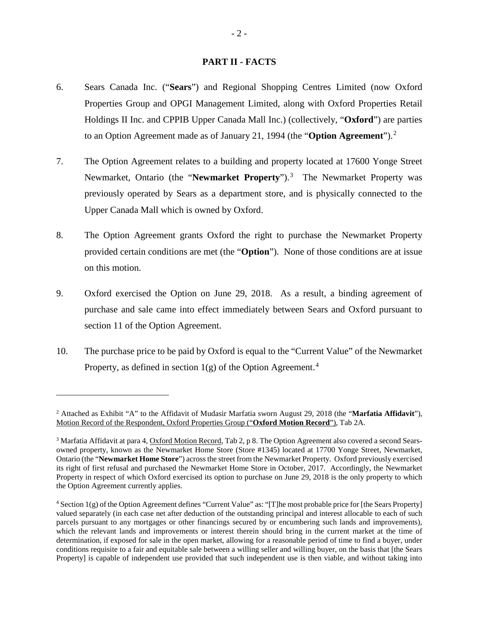#### **PART II - FACTS**

- 6. Sears Canada Inc. ("**Sears**") and Regional Shopping Centres Limited (now Oxford Properties Group and OPGI Management Limited, along with Oxford Properties Retail Holdings II Inc. and CPPIB Upper Canada Mall Inc.) (collectively, "**Oxford**") are parties to an Option Agreement made as of January 21, 1994 (the "**Option Agreement**").[2](#page-2-0)
- 7. The Option Agreement relates to a building and property located at 17600 Yonge Street Newmarket, Ontario (the "Newmarket Property").<sup>[3](#page-2-1)</sup> The Newmarket Property was previously operated by Sears as a department store, and is physically connected to the Upper Canada Mall which is owned by Oxford.
- 8. The Option Agreement grants Oxford the right to purchase the Newmarket Property provided certain conditions are met (the "**Option**"). None of those conditions are at issue on this motion.
- 9. Oxford exercised the Option on June 29, 2018. As a result, a binding agreement of purchase and sale came into effect immediately between Sears and Oxford pursuant to section 11 of the Option Agreement.
- 10. The purchase price to be paid by Oxford is equal to the "Current Value" of the Newmarket Property, as defined in section  $1(g)$  of the Option Agreement.<sup>[4](#page-2-2)</sup>

<span id="page-2-0"></span><sup>2</sup> Attached as Exhibit "A" to the Affidavit of Mudasir Marfatia sworn August 29, 2018 (the "**Marfatia Affidavit**"), Motion Record of the Respondent, Oxford Properties Group ("**Oxford Motion Record**"), Tab 2A.

<span id="page-2-1"></span><sup>3</sup> Marfatia Affidavit at para 4, Oxford Motion Record, Tab 2, p 8. The Option Agreement also covered a second Searsowned property, known as the Newmarket Home Store (Store #1345) located at 17700 Yonge Street, Newmarket, Ontario (the "**Newmarket Home Store**") across the street from the Newmarket Property. Oxford previously exercised its right of first refusal and purchased the Newmarket Home Store in October, 2017. Accordingly, the Newmarket Property in respect of which Oxford exercised its option to purchase on June 29, 2018 is the only property to which the Option Agreement currently applies.

<span id="page-2-2"></span><sup>4</sup> Section 1(g) of the Option Agreement defines "Current Value" as: "[T]he most probable price for [the Sears Property] valued separately (in each case net after deduction of the outstanding principal and interest allocable to each of such parcels pursuant to any mortgages or other financings secured by or encumbering such lands and improvements), which the relevant lands and improvements or interest therein should bring in the current market at the time of determination, if exposed for sale in the open market, allowing for a reasonable period of time to find a buyer, under conditions requisite to a fair and equitable sale between a willing seller and willing buyer, on the basis that [the Sears Property] is capable of independent use provided that such independent use is then viable, and without taking into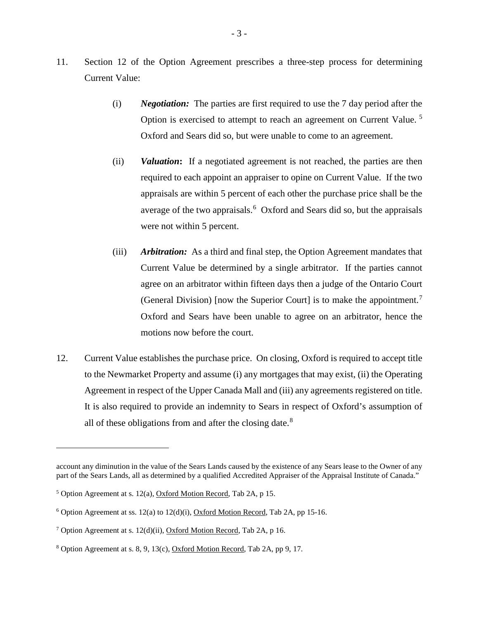- 11. Section 12 of the Option Agreement prescribes a three-step process for determining Current Value:
	- (i) *Negotiation:* The parties are first required to use the 7 day period after the Option is exercised to attempt to reach an agreement on Current Value. [5](#page-3-0) Oxford and Sears did so, but were unable to come to an agreement.
	- (ii) *Valuation***:** If a negotiated agreement is not reached, the parties are then required to each appoint an appraiser to opine on Current Value. If the two appraisals are within 5 percent of each other the purchase price shall be the average of the two appraisals.<sup>[6](#page-3-1)</sup> Oxford and Sears did so, but the appraisals were not within 5 percent.
	- (iii) *Arbitration:* As a third and final step, the Option Agreement mandates that Current Value be determined by a single arbitrator. If the parties cannot agree on an arbitrator within fifteen days then a judge of the Ontario Court (General Division) [now the Superior Court] is to make the appointment.<sup>[7](#page-3-2)</sup> Oxford and Sears have been unable to agree on an arbitrator, hence the motions now before the court.
- 12. Current Value establishes the purchase price. On closing, Oxford is required to accept title to the Newmarket Property and assume (i) any mortgages that may exist, (ii) the Operating Agreement in respect of the Upper Canada Mall and (iii) any agreements registered on title. It is also required to provide an indemnity to Sears in respect of Oxford's assumption of all of these obligations from and after the closing date.<sup>[8](#page-3-3)</sup>

account any diminution in the value of the Sears Lands caused by the existence of any Sears lease to the Owner of any part of the Sears Lands, all as determined by a qualified Accredited Appraiser of the Appraisal Institute of Canada."

<span id="page-3-0"></span> $5$  Option Agreement at s. 12(a), Oxford Motion Record, Tab 2A, p 15.

<span id="page-3-1"></span> $6$  Option Agreement at ss. 12(a) to 12(d)(i), Oxford Motion Record, Tab 2A, pp 15-16.

<span id="page-3-2"></span><sup>&</sup>lt;sup>7</sup> Option Agreement at s. 12(d)(ii), Oxford Motion Record, Tab 2A, p 16.

<span id="page-3-3"></span><sup>8</sup> Option Agreement at s. 8, 9, 13(c), Oxford Motion Record, Tab 2A, pp 9, 17.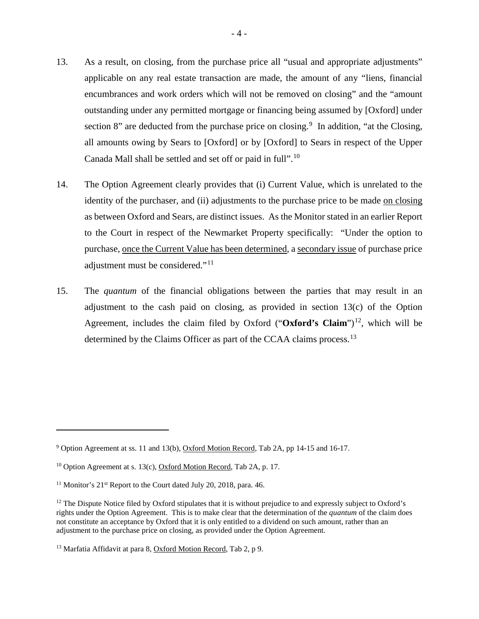- 13. As a result, on closing, from the purchase price all "usual and appropriate adjustments" applicable on any real estate transaction are made, the amount of any "liens, financial encumbrances and work orders which will not be removed on closing" and the "amount outstanding under any permitted mortgage or financing being assumed by [Oxford] under section 8" are deducted from the purchase price on closing.<sup>[9](#page-4-0)</sup> In addition, "at the Closing, all amounts owing by Sears to [Oxford] or by [Oxford] to Sears in respect of the Upper Canada Mall shall be settled and set off or paid in full".[10](#page-4-1)
- 14. The Option Agreement clearly provides that (i) Current Value, which is unrelated to the identity of the purchaser, and (ii) adjustments to the purchase price to be made on closing as between Oxford and Sears, are distinct issues. As the Monitor stated in an earlier Report to the Court in respect of the Newmarket Property specifically: "Under the option to purchase, once the Current Value has been determined, a secondary issue of purchase price adjustment must be considered."<sup>[11](#page-4-2)</sup>
- 15. The *quantum* of the financial obligations between the parties that may result in an adjustment to the cash paid on closing, as provided in section 13(c) of the Option Agreement, includes the claim filed by Oxford (" $Oxford$ "s Claim")<sup>12</sup>, which will be determined by the Claims Officer as part of the CCAA claims process.<sup>13</sup>

<span id="page-4-0"></span><sup>9</sup> Option Agreement at ss. 11 and 13(b), Oxford Motion Record, Tab 2A, pp 14-15 and 16-17.

<span id="page-4-1"></span><sup>&</sup>lt;sup>10</sup> Option Agreement at s. 13(c), Oxford Motion Record, Tab 2A, p. 17.

<span id="page-4-2"></span><sup>&</sup>lt;sup>11</sup> Monitor's  $21<sup>st</sup>$  Report to the Court dated July 20, 2018, para. 46.

<span id="page-4-3"></span> $12$  The Dispute Notice filed by Oxford stipulates that it is without prejudice to and expressly subject to Oxford's rights under the Option Agreement. This is to make clear that the determination of the *quantum* of the claim does not constitute an acceptance by Oxford that it is only entitled to a dividend on such amount, rather than an adjustment to the purchase price on closing, as provided under the Option Agreement.

<span id="page-4-4"></span><sup>13</sup> Marfatia Affidavit at para 8, Oxford Motion Record, Tab 2, p 9.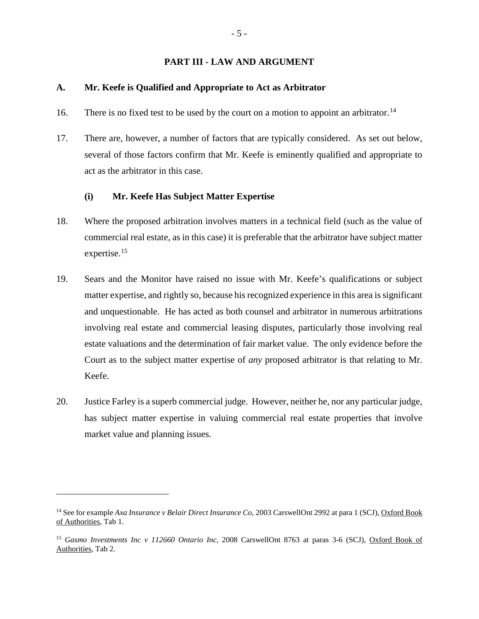#### **PART III - LAW AND ARGUMENT**

#### **A. Mr. Keefe is Qualified and Appropriate to Act as Arbitrator**

- 16. There is no fixed test to be used by the court on a motion to appoint an arbitrator.<sup>14</sup>
- 17. There are, however, a number of factors that are typically considered. As set out below, several of those factors confirm that Mr. Keefe is eminently qualified and appropriate to act as the arbitrator in this case.

### **(i) Mr. Keefe Has Subject Matter Expertise**

- 18. Where the proposed arbitration involves matters in a technical field (such as the value of commercial real estate, as in this case) it is preferable that the arbitrator have subject matter expertise.<sup>[15](#page-5-1)</sup>
- 19. Sears and the Monitor have raised no issue with Mr. Keefe's qualifications or subject matter expertise, and rightly so, because his recognized experience in this area is significant and unquestionable. He has acted as both counsel and arbitrator in numerous arbitrations involving real estate and commercial leasing disputes, particularly those involving real estate valuations and the determination of fair market value. The only evidence before the Court as to the subject matter expertise of *any* proposed arbitrator is that relating to Mr. Keefe.
- 20. Justice Farley is a superb commercial judge. However, neither he, nor any particular judge, has subject matter expertise in valuing commercial real estate properties that involve market value and planning issues.

<span id="page-5-0"></span><sup>14</sup> See for example *Axa Insurance v Belair Direct Insurance Co*, 2003 CarswellOnt 2992 at para 1 (SCJ), Oxford Book of Authorities, Tab 1.

<span id="page-5-1"></span><sup>15</sup> *Gasmo Investments Inc v 112660 Ontario Inc*, 2008 CarswellOnt 8763 at paras 3-6 (SCJ), Oxford Book of Authorities, Tab 2.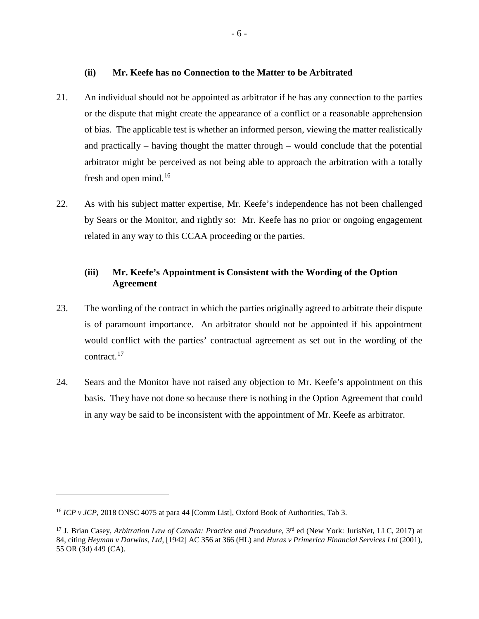**(ii) Mr. Keefe has no Connection to the Matter to be Arbitrated**

- 21. An individual should not be appointed as arbitrator if he has any connection to the parties or the dispute that might create the appearance of a conflict or a reasonable apprehension of bias. The applicable test is whether an informed person, viewing the matter realistically and practically – having thought the matter through – would conclude that the potential arbitrator might be perceived as not being able to approach the arbitration with a totally fresh and open mind.<sup>[16](#page-6-0)</sup>
- 22. As with his subject matter expertise, Mr. Keefe's independence has not been challenged by Sears or the Monitor, and rightly so: Mr. Keefe has no prior or ongoing engagement related in any way to this CCAA proceeding or the parties.

# **(iii) Mr. Keefe's Appointment is Consistent with the Wording of the Option Agreement**

- 23. The wording of the contract in which the parties originally agreed to arbitrate their dispute is of paramount importance. An arbitrator should not be appointed if his appointment would conflict with the parties' contractual agreement as set out in the wording of the contract.[17](#page-6-1)
- 24. Sears and the Monitor have not raised any objection to Mr. Keefe's appointment on this basis. They have not done so because there is nothing in the Option Agreement that could in any way be said to be inconsistent with the appointment of Mr. Keefe as arbitrator.

<span id="page-6-0"></span><sup>&</sup>lt;sup>16</sup> *ICP v JCP*, 2018 ONSC 4075 at para 44 [Comm List], Oxford Book of Authorities, Tab 3.

<span id="page-6-1"></span><sup>&</sup>lt;sup>17</sup> J. Brian Casey, *Arbitration Law of Canada: Practice and Procedure*, 3<sup>rd</sup> ed (New York: JurisNet, LLC, 2017) at 84, citing *Heyman v Darwins, Ltd*, [1942] AC 356 at 366 (HL) and *Huras v Primerica Financial Services Ltd* (2001), 55 OR (3d) 449 (CA).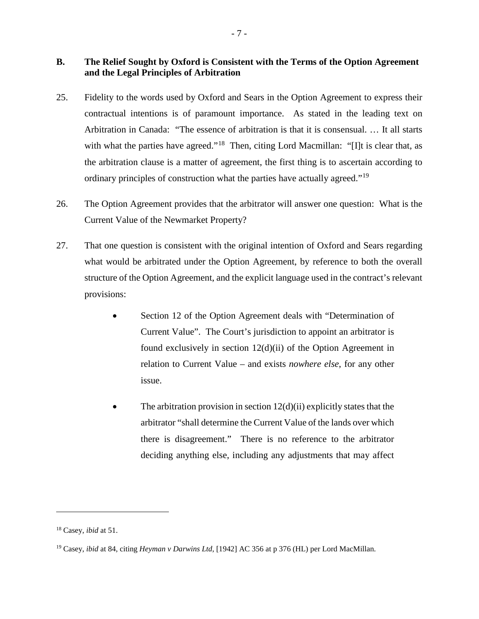# **B. The Relief Sought by Oxford is Consistent with the Terms of the Option Agreement and the Legal Principles of Arbitration**

- 25. Fidelity to the words used by Oxford and Sears in the Option Agreement to express their contractual intentions is of paramount importance. As stated in the leading text on Arbitration in Canada: "The essence of arbitration is that it is consensual. … It all starts with what the parties have agreed."<sup>[18](#page-7-0)</sup> Then, citing Lord Macmillan: "[I]t is clear that, as the arbitration clause is a matter of agreement, the first thing is to ascertain according to ordinary principles of construction what the parties have actually agreed."<sup>[19](#page-7-1)</sup>
- 26. The Option Agreement provides that the arbitrator will answer one question: What is the Current Value of the Newmarket Property?
- 27. That one question is consistent with the original intention of Oxford and Sears regarding what would be arbitrated under the Option Agreement, by reference to both the overall structure of the Option Agreement, and the explicit language used in the contract's relevant provisions:
	- Section 12 of the Option Agreement deals with "Determination of Current Value". The Court's jurisdiction to appoint an arbitrator is found exclusively in section 12(d)(ii) of the Option Agreement in relation to Current Value – and exists *nowhere else*, for any other issue.
	- The arbitration provision in section  $12(d)(ii)$  explicitly states that the arbitrator "shall determine the Current Value of the lands over which there is disagreement." There is no reference to the arbitrator deciding anything else, including any adjustments that may affect

<span id="page-7-0"></span><sup>18</sup> Casey, *ibid* at 51.

<span id="page-7-1"></span><sup>19</sup> Casey, *ibid* at 84, citing *Heyman v Darwins Ltd*, [1942] AC 356 at p 376 (HL) per Lord MacMillan.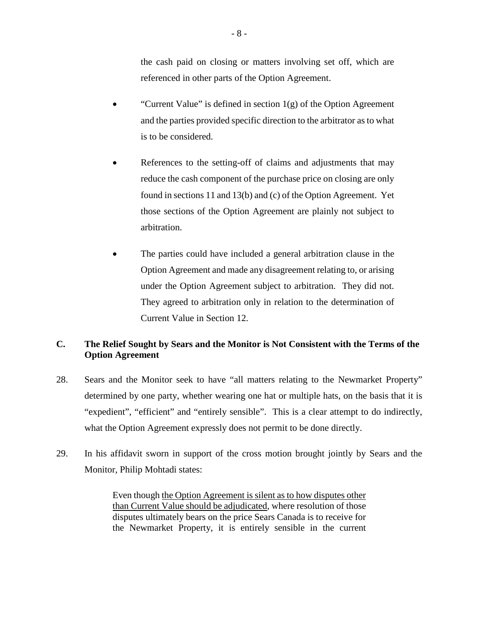the cash paid on closing or matters involving set off, which are referenced in other parts of the Option Agreement.

- "Current Value" is defined in section  $1(g)$  of the Option Agreement and the parties provided specific direction to the arbitrator as to what is to be considered.
- References to the setting-off of claims and adjustments that may reduce the cash component of the purchase price on closing are only found in sections 11 and 13(b) and (c) of the Option Agreement. Yet those sections of the Option Agreement are plainly not subject to arbitration.
- The parties could have included a general arbitration clause in the Option Agreement and made any disagreement relating to, or arising under the Option Agreement subject to arbitration. They did not. They agreed to arbitration only in relation to the determination of Current Value in Section 12.

# **C. The Relief Sought by Sears and the Monitor is Not Consistent with the Terms of the Option Agreement**

- 28. Sears and the Monitor seek to have "all matters relating to the Newmarket Property" determined by one party, whether wearing one hat or multiple hats, on the basis that it is "expedient", "efficient" and "entirely sensible". This is a clear attempt to do indirectly, what the Option Agreement expressly does not permit to be done directly.
- 29. In his affidavit sworn in support of the cross motion brought jointly by Sears and the Monitor, Philip Mohtadi states:

Even though the Option Agreement is silent as to how disputes other than Current Value should be adjudicated, where resolution of those disputes ultimately bears on the price Sears Canada is to receive for the Newmarket Property, it is entirely sensible in the current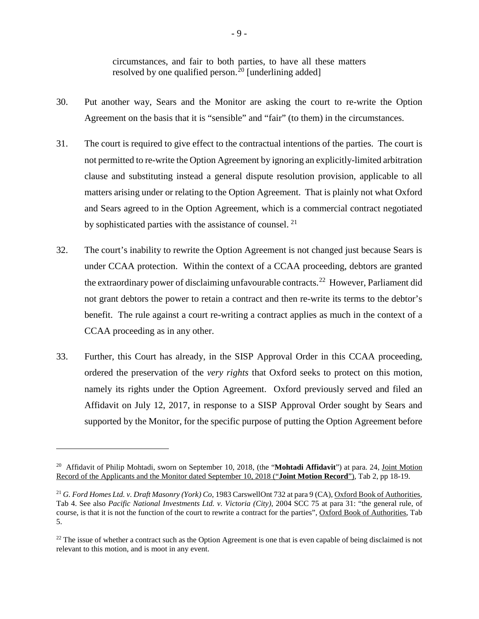circumstances, and fair to both parties, to have all these matters resolved by one qualified person.<sup>[20](#page-9-0)</sup> [underlining added]

- 30. Put another way, Sears and the Monitor are asking the court to re-write the Option Agreement on the basis that it is "sensible" and "fair" (to them) in the circumstances.
- 31. The court is required to give effect to the contractual intentions of the parties. The court is not permitted to re-write the Option Agreement by ignoring an explicitly-limited arbitration clause and substituting instead a general dispute resolution provision, applicable to all matters arising under or relating to the Option Agreement. That is plainly not what Oxford and Sears agreed to in the Option Agreement, which is a commercial contract negotiated by sophisticated parties with the assistance of counsel.<sup>[21](#page-9-1)</sup>
- 32. The court's inability to rewrite the Option Agreement is not changed just because Sears is under CCAA protection. Within the context of a CCAA proceeding, debtors are granted the extraordinary power of disclaiming unfavourable contracts.<sup>[22](#page-9-2)</sup> However, Parliament did not grant debtors the power to retain a contract and then re-write its terms to the debtor's benefit. The rule against a court re-writing a contract applies as much in the context of a CCAA proceeding as in any other.
- 33. Further, this Court has already, in the SISP Approval Order in this CCAA proceeding, ordered the preservation of the *very rights* that Oxford seeks to protect on this motion, namely its rights under the Option Agreement. Oxford previously served and filed an Affidavit on July 12, 2017, in response to a SISP Approval Order sought by Sears and supported by the Monitor, for the specific purpose of putting the Option Agreement before

<span id="page-9-0"></span><sup>&</sup>lt;sup>20</sup> Affidavit of Philip Mohtadi, sworn on September 10, 2018, (the "**Mohtadi Affidavit**") at para. 24, Joint Motion Record of the Applicants and the Monitor dated September 10, 2018 ("**Joint Motion Record**"), Tab 2, pp 18-19.

<span id="page-9-1"></span><sup>&</sup>lt;sup>21</sup> *G. Ford Homes Ltd. v. Draft Masonry (York) Co*, 1983 CarswellOnt 732 at para 9 (CA), Oxford Book of Authorities, Tab 4. See also *Pacific National Investments Ltd. v. Victoria (City)*, 2004 SCC 75 at para 31: "the general rule, of course, is that it is not the function of the court to rewrite a contract for the parties", Oxford Book of Authorities, Tab 5.

<span id="page-9-2"></span> $22$  The issue of whether a contract such as the Option Agreement is one that is even capable of being disclaimed is not relevant to this motion, and is moot in any event.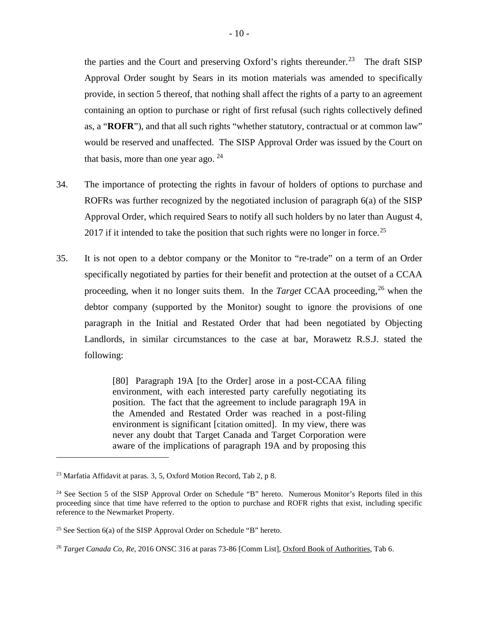the parties and the Court and preserving Oxford's rights thereunder.<sup>23</sup> The draft SISP Approval Order sought by Sears in its motion materials was amended to specifically provide, in section 5 thereof, that nothing shall affect the rights of a party to an agreement containing an option to purchase or right of first refusal (such rights collectively defined as, a "**ROFR**"), and that all such rights "whether statutory, contractual or at common law" would be reserved and unaffected. The SISP Approval Order was issued by the Court on that basis, more than one year ago.  $24$ 

- 34. The importance of protecting the rights in favour of holders of options to purchase and ROFRs was further recognized by the negotiated inclusion of paragraph 6(a) of the SISP Approval Order, which required Sears to notify all such holders by no later than August 4, 2017 if it intended to take the position that such rights were no longer in force.<sup>[25](#page-10-2)</sup>
- 35. It is not open to a debtor company or the Monitor to "re-trade" on a term of an Order specifically negotiated by parties for their benefit and protection at the outset of a CCAA proceeding, when it no longer suits them. In the *Target* CCAA proceeding, [26](#page-10-3) when the debtor company (supported by the Monitor) sought to ignore the provisions of one paragraph in the Initial and Restated Order that had been negotiated by Objecting Landlords, in similar circumstances to the case at bar, Morawetz R.S.J. stated the following:

[80] Paragraph 19A [to the Order] arose in a post-CCAA filing environment, with each interested party carefully negotiating its position. The fact that the agreement to include paragraph 19A in the Amended and Restated Order was reached in a post-filing environment is significant [citation omitted]. In my view, there was never any doubt that Target Canada and Target Corporation were aware of the implications of paragraph 19A and by proposing this

<span id="page-10-0"></span><sup>23</sup> Marfatia Affidavit at paras. 3, 5, Oxford Motion Record, Tab 2, p 8.

<span id="page-10-1"></span><sup>&</sup>lt;sup>24</sup> See Section 5 of the SISP Approval Order on Schedule "B" hereto. Numerous Monitor's Reports filed in this proceeding since that time have referred to the option to purchase and ROFR rights that exist, including specific reference to the Newmarket Property.

<span id="page-10-2"></span><sup>&</sup>lt;sup>25</sup> See Section  $6(a)$  of the SISP Approval Order on Schedule "B" hereto.

<span id="page-10-3"></span><sup>26</sup> *Target Canada Co, Re*, 2016 ONSC 316 at paras 73-86 [Comm List], Oxford Book of Authorities, Tab 6.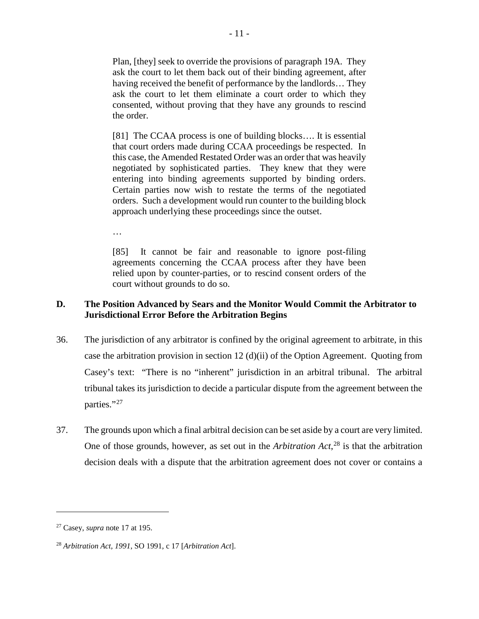Plan, [they] seek to override the provisions of paragraph 19A. They ask the court to let them back out of their binding agreement, after having received the benefit of performance by the landlords… They ask the court to let them eliminate a court order to which they consented, without proving that they have any grounds to rescind the order.

[81] The CCAA process is one of building blocks.... It is essential that court orders made during CCAA proceedings be respected. In this case, the Amended Restated Order was an order that was heavily negotiated by sophisticated parties. They knew that they were entering into binding agreements supported by binding orders. Certain parties now wish to restate the terms of the negotiated orders. Such a development would run counter to the building block approach underlying these proceedings since the outset.

…

[85] It cannot be fair and reasonable to ignore post-filing agreements concerning the CCAA process after they have been relied upon by counter-parties, or to rescind consent orders of the court without grounds to do so.

# **D. The Position Advanced by Sears and the Monitor Would Commit the Arbitrator to Jurisdictional Error Before the Arbitration Begins**

- 36. The jurisdiction of any arbitrator is confined by the original agreement to arbitrate, in this case the arbitration provision in section 12 (d)(ii) of the Option Agreement. Quoting from Casey's text: "There is no "inherent" jurisdiction in an arbitral tribunal. The arbitral tribunal takes its jurisdiction to decide a particular dispute from the agreement between the parties."<sup>[27](#page-11-0)</sup>
- 37. The grounds upon which a final arbitral decision can be set aside by a court are very limited. One of those grounds, however, as set out in the *Arbitration Act*, [28](#page-11-1) is that the arbitration decision deals with a dispute that the arbitration agreement does not cover or contains a

<span id="page-11-0"></span><sup>27</sup> Casey, *supra* note 17 at 195.

<span id="page-11-1"></span><sup>28</sup> *Arbitration Act, 1991*, SO 1991, c 17 [*Arbitration Act*].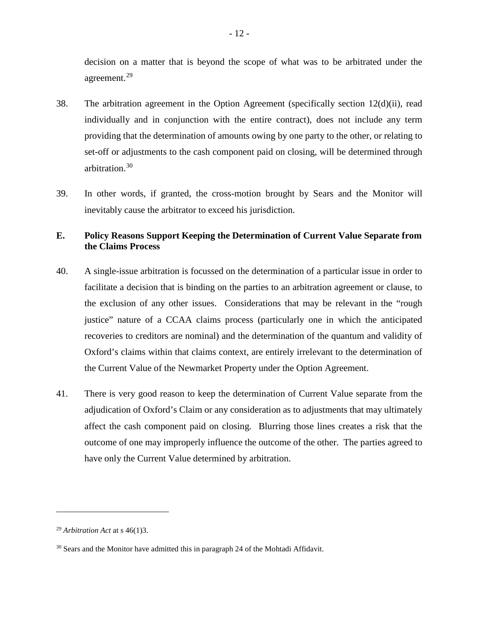decision on a matter that is beyond the scope of what was to be arbitrated under the agreement.[29](#page-12-0)

- 38. The arbitration agreement in the Option Agreement (specifically section 12(d)(ii), read individually and in conjunction with the entire contract), does not include any term providing that the determination of amounts owing by one party to the other, or relating to set-off or adjustments to the cash component paid on closing, will be determined through arbitration. [30](#page-12-1)
- 39. In other words, if granted, the cross-motion brought by Sears and the Monitor will inevitably cause the arbitrator to exceed his jurisdiction.

# **E. Policy Reasons Support Keeping the Determination of Current Value Separate from the Claims Process**

- 40. A single-issue arbitration is focussed on the determination of a particular issue in order to facilitate a decision that is binding on the parties to an arbitration agreement or clause, to the exclusion of any other issues. Considerations that may be relevant in the "rough justice" nature of a CCAA claims process (particularly one in which the anticipated recoveries to creditors are nominal) and the determination of the quantum and validity of Oxford's claims within that claims context, are entirely irrelevant to the determination of the Current Value of the Newmarket Property under the Option Agreement.
- 41. There is very good reason to keep the determination of Current Value separate from the adjudication of Oxford's Claim or any consideration as to adjustments that may ultimately affect the cash component paid on closing. Blurring those lines creates a risk that the outcome of one may improperly influence the outcome of the other. The parties agreed to have only the Current Value determined by arbitration.

<span id="page-12-0"></span><sup>29</sup> *Arbitration Act* at s 46(1)3.

<span id="page-12-1"></span><sup>&</sup>lt;sup>30</sup> Sears and the Monitor have admitted this in paragraph 24 of the Mohtadi Affidavit.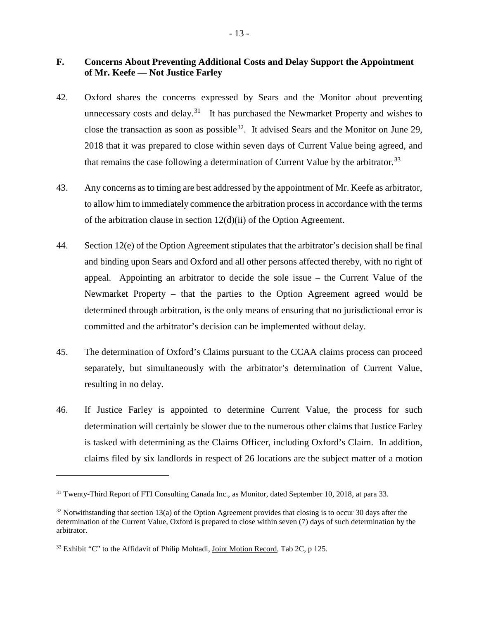# **F. Concerns About Preventing Additional Costs and Delay Support the Appointment of Mr. Keefe — Not Justice Farley**

- 42. Oxford shares the concerns expressed by Sears and the Monitor about preventing unnecessary costs and delay.<sup>31</sup> It has purchased the Newmarket Property and wishes to close the transaction as soon as possible<sup>32</sup>. It advised Sears and the Monitor on June 29, 2018 that it was prepared to close within seven days of Current Value being agreed, and that remains the case following a determination of Current Value by the arbitrator.<sup>[33](#page-13-2)</sup>
- 43. Any concerns as to timing are best addressed by the appointment of Mr. Keefe as arbitrator, to allow him to immediately commence the arbitration process in accordance with the terms of the arbitration clause in section 12(d)(ii) of the Option Agreement.
- 44. Section 12(e) of the Option Agreement stipulates that the arbitrator's decision shall be final and binding upon Sears and Oxford and all other persons affected thereby, with no right of appeal. Appointing an arbitrator to decide the sole issue – the Current Value of the Newmarket Property – that the parties to the Option Agreement agreed would be determined through arbitration, is the only means of ensuring that no jurisdictional error is committed and the arbitrator's decision can be implemented without delay.
- 45. The determination of Oxford's Claims pursuant to the CCAA claims process can proceed separately, but simultaneously with the arbitrator's determination of Current Value, resulting in no delay.
- 46. If Justice Farley is appointed to determine Current Value, the process for such determination will certainly be slower due to the numerous other claims that Justice Farley is tasked with determining as the Claims Officer, including Oxford's Claim. In addition, claims filed by six landlords in respect of 26 locations are the subject matter of a motion

<span id="page-13-0"></span><sup>&</sup>lt;sup>31</sup> Twenty-Third Report of FTI Consulting Canada Inc., as Monitor, dated September 10, 2018, at para 33.

<span id="page-13-1"></span> $32$  Notwithstanding that section 13(a) of the Option Agreement provides that closing is to occur 30 days after the determination of the Current Value, Oxford is prepared to close within seven (7) days of such determination by the arbitrator.

<span id="page-13-2"></span><sup>&</sup>lt;sup>33</sup> Exhibit "C" to the Affidavit of Philip Mohtadi, Joint Motion Record, Tab 2C, p 125.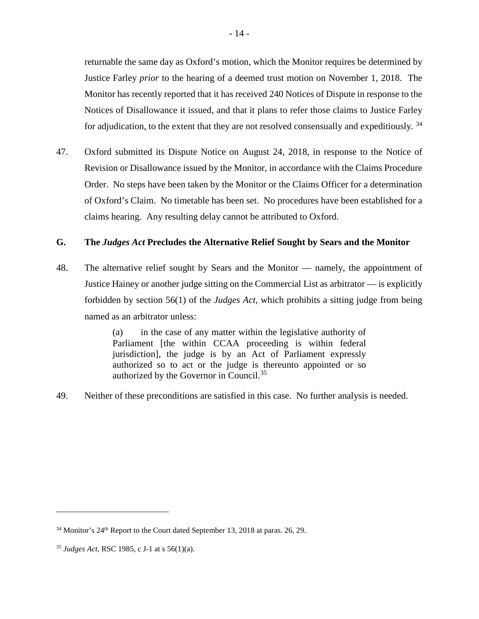returnable the same day as Oxford's motion, which the Monitor requires be determined by Justice Farley *prior* to the hearing of a deemed trust motion on November 1, 2018. The Monitor has recently reported that it has received 240 Notices of Dispute in response to the Notices of Disallowance it issued, and that it plans to refer those claims to Justice Farley for adjudication, to the extent that they are not resolved consensually and expeditiously. <sup>[34](#page-14-0)</sup>

47. Oxford submitted its Dispute Notice on August 24, 2018, in response to the Notice of Revision or Disallowance issued by the Monitor, in accordance with the Claims Procedure Order. No steps have been taken by the Monitor or the Claims Officer for a determination of Oxford's Claim. No timetable has been set. No procedures have been established for a claims hearing. Any resulting delay cannot be attributed to Oxford.

### **G. The** *Judges Act* **Precludes the Alternative Relief Sought by Sears and the Monitor**

48. The alternative relief sought by Sears and the Monitor — namely, the appointment of Justice Hainey or another judge sitting on the Commercial List as arbitrator — is explicitly forbidden by section 56(1) of the *Judges Act*, which prohibits a sitting judge from being named as an arbitrator unless:

> (a) in the case of any matter within the legislative authority of Parliament [the within CCAA proceeding is within federal jurisdiction], the judge is by an Act of Parliament expressly authorized so to act or the judge is thereunto appointed or so authorized by the Governor in Council.<sup>[35](#page-14-1)</sup>

49. Neither of these preconditions are satisfied in this case. No further analysis is needed.

<span id="page-14-0"></span> $34$  Monitor's  $24<sup>th</sup>$  Report to the Court dated September 13, 2018 at paras. 26, 29.

<span id="page-14-1"></span><sup>35</sup> *Judges Act*, RSC 1985, c J-1 at s 56(1)(a).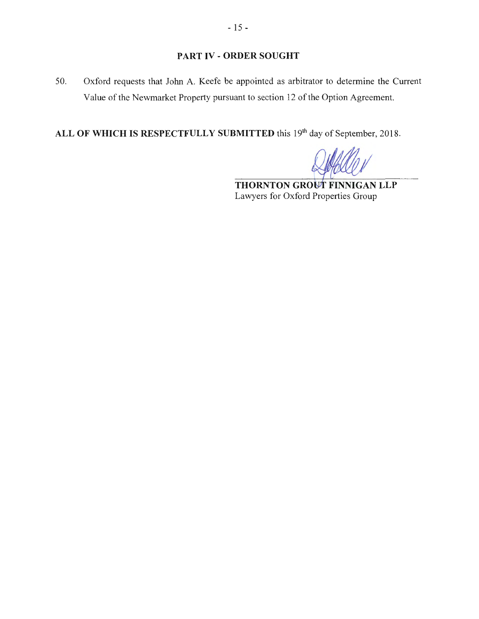# **PART IV - ORDER SOUGHT**

50. Oxford requests that John A. Keefe be appointed as arbitrator to determine the Current Value of the Newmarket Property pursuant to section 12 of the Option Agreement.

ALL OF WHICH IS RESPECTFULLY SUBMITTED this 19<sup>th</sup> day of September, 2018.

**THORNTON GROUT FINNIGAN LLP** Lawyers for Oxford Properties Group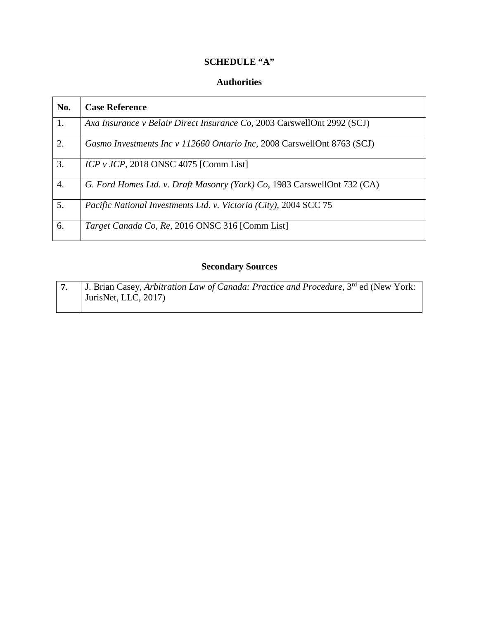# **SCHEDULE "A"**

# **Authorities**

| No.              | <b>Case Reference</b>                                                    |
|------------------|--------------------------------------------------------------------------|
| 1.               | Axa Insurance v Belair Direct Insurance Co, 2003 CarswellOnt 2992 (SCJ)  |
| $\overline{2}$ . | Gasmo Investments Inc v 112660 Ontario Inc, 2008 CarswellOnt 8763 (SCJ)  |
| 3.               | $ICP$ v $JCP$ , 2018 ONSC 4075 [Comm List]                               |
| $\overline{4}$ . | G. Ford Homes Ltd. v. Draft Masonry (York) Co, 1983 CarswellOnt 732 (CA) |
| 5.               | Pacific National Investments Ltd. v. Victoria (City), 2004 SCC 75        |
| 6.               | Target Canada Co, Re, 2016 ONSC 316 [Comm List]                          |

# **Secondary Sources**

|  | J. Brian Casey, Arbitration Law of Canada: Practice and Procedure, $3rd$ ed (New York: |
|--|----------------------------------------------------------------------------------------|
|  | JurisNet, LLC, 2017)                                                                   |
|  |                                                                                        |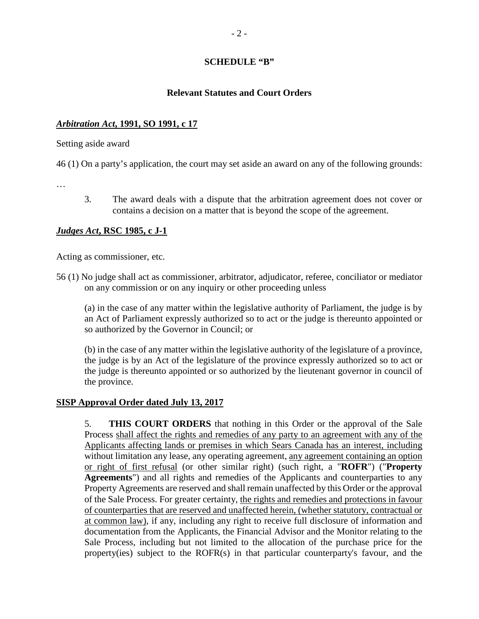### **SCHEDULE "B"**

#### **Relevant Statutes and Court Orders**

### *Arbitration Act***, 1991, SO 1991, c 17**

Setting aside award

46 (1) On a party's application, the court may set aside an award on any of the following grounds:

…

3. The award deals with a dispute that the arbitration agreement does not cover or contains a decision on a matter that is beyond the scope of the agreement.

#### *Judges Act***, RSC 1985, c J-1**

Acting as commissioner, etc.

56 (1) No judge shall act as commissioner, arbitrator, adjudicator, referee, conciliator or mediator on any commission or on any inquiry or other proceeding unless

(a) in the case of any matter within the legislative authority of Parliament, the judge is by an Act of Parliament expressly authorized so to act or the judge is thereunto appointed or so authorized by the Governor in Council; or

(b) in the case of any matter within the legislative authority of the legislature of a province, the judge is by an Act of the legislature of the province expressly authorized so to act or the judge is thereunto appointed or so authorized by the lieutenant governor in council of the province.

### **SISP Approval Order dated July 13, 2017**

5. **THIS COURT ORDERS** that nothing in this Order or the approval of the Sale Process shall affect the rights and remedies of any party to an agreement with any of the Applicants affecting lands or premises in which Sears Canada has an interest, including without limitation any lease, any operating agreement, any agreement containing an option or right of first refusal (or other similar right) (such right, a "**ROFR**") ("**Property Agreements**") and all rights and remedies of the Applicants and counterparties to any Property Agreements are reserved and shall remain unaffected by this Order or the approval of the Sale Process. For greater certainty, the rights and remedies and protections in favour of counterparties that are reserved and unaffected herein, (whether statutory, contractual or at common law), if any, including any right to receive full disclosure of information and documentation from the Applicants, the Financial Advisor and the Monitor relating to the Sale Process, including but not limited to the allocation of the purchase price for the property(ies) subject to the ROFR(s) in that particular counterparty's favour, and the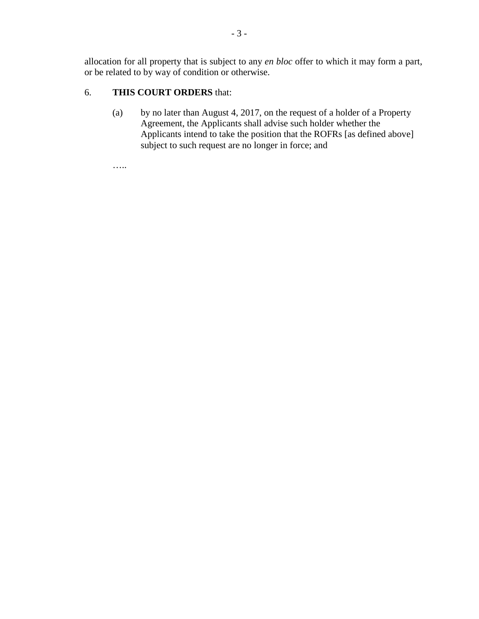allocation for all property that is subject to any *en bloc* offer to which it may form a part, or be related to by way of condition or otherwise.

# 6. **THIS COURT ORDERS** that:

(a) by no later than August 4, 2017, on the request of a holder of a Property Agreement, the Applicants shall advise such holder whether the Applicants intend to take the position that the ROFRs [as defined above] subject to such request are no longer in force; and

…..